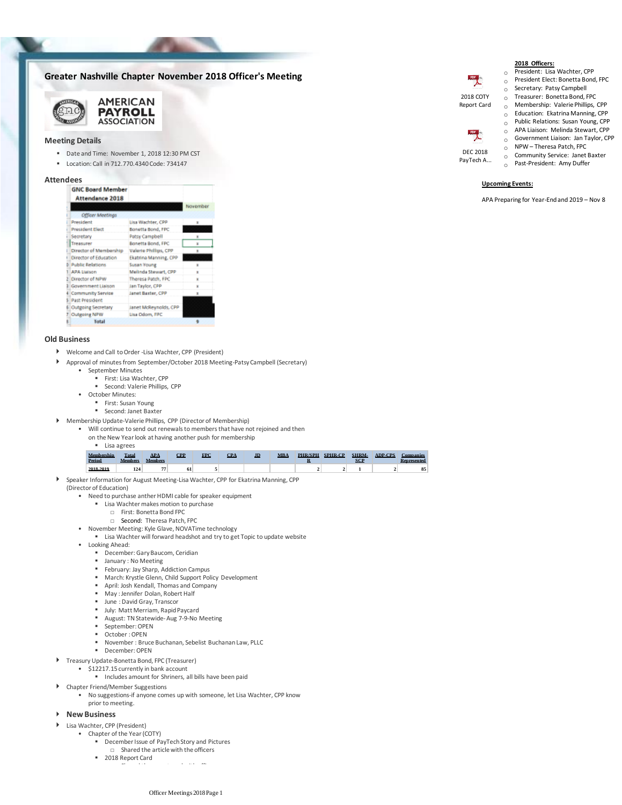# **Greater Nashville Chapter November 2018 Officer's Meeting**



### **Meeting Details**

■ Date and Time: November 1, 2018 12:30 PM CST

**AMERICAN PAYROLL ASSOCIATION** 

▪ Location: Call in 712.770.4340 Code: 734147

# **Attendees**<br>**GNC Board Member**

| <b>Attendance 2018</b>     |                       |          |
|----------------------------|-----------------------|----------|
|                            |                       | November |
| <b>Officer Meetings</b>    |                       |          |
| President                  | Lisa Wachter, CPP     | ×        |
| President Elect            | Bonetta Bond, FPC     |          |
| Secretary                  | Patsy Campbell        |          |
| Treasurer                  | Bonetta Bond, FPC     | ×        |
| Director of Membership     | Valerie Phillips, CPP | ×        |
| Director of Education      | Ekatrina Manning, CPP |          |
| <b>Public Relations</b>    | Susan Young           | ×        |
| <b>APA Liaison</b>         | Melinda Stewart, CPP  | ×        |
| Director of NPW            | Theresa Patch, FPC    | ×        |
| Government Liaison         | Jan Taylor, CPP       | ×        |
| <b>4 Community Service</b> | Janet Baster, CPP     | ×        |
| <b>S</b> Past President    |                       |          |
| 6 Outgoing Secretary       | Janet McReynolds, CPP |          |
| Outgoing NPW               | Lisa Odom, FPC        |          |
| Total                      |                       |          |

## **Old Business**

- Welcome and Call to Order -Lisa Wachter, CPP (President)
- $\mathbf b$ Approval of minutes from September/October 2018 Meeting-Patsy Campbell (Secretary)
	- September Minutes
		- First: Lisa Wachter, CPP
		- Second: Valerie Phillips, CPP
	- October Minutes:
		- First: Susan Young
		- Second: Janet Baxter
- Membership Update-Valerie Phillips, CPP (Director of Membership)
	- Will continue to send out renewals to members that have not rejoined and then
		- Lisa agrees on the New Year look at having another push for membership

| Membershin<br>Period | Total<br><b>Members</b> | ADA<br><b>Members</b> | <b>PP</b> | <b>FPC</b> | $\mathbf{P}\mathbf{\Delta}$ | m | MRA | <b>PHR/SPH</b> | SPHR.CP | SHRM. | <b>ADP.CPS</b> | <b>Companies</b><br><b>Represented</b> |
|----------------------|-------------------------|-----------------------|-----------|------------|-----------------------------|---|-----|----------------|---------|-------|----------------|----------------------------------------|
| 2018-2019            | 124                     | m.                    |           |            |                             |   |     |                |         |       |                | 85                                     |

Speaker Information for August Meeting-Lisa Wachter, CPP for Ekatrina Manning, CPP  $\mathbf b$ 

#### (Director of Education)

- Need to purchase anther HDMI cable for speaker equipment
	- **E** Lisa Wachter makes motion to purchase
		- □ First: Bonetta Bond FPC
		- □ Second: Theresa Patch, FPC
- November Meeting: Kyle Glave, NOVATime technology
	- Lisa Wachter will forward headshot and try to get Topic to update website
- Looking Ahead:
	- December: Gary Baucom, Ceridian
	- January : No Meeting
	- February: Jay Sharp, Addiction Campus
	- March: Krystle Glenn, Child Support Policy Development
	- April: Josh Kendall, Thomas and Company
	- May : Jennifer Dolan, Robert Half
	- June : David Gray, Transcor
	- July: Matt Merriam, Rapid Paycard August: TN Statewide-Aug 7-9-No Meeting
	- September: OPEN
	- October : OPEN
	- November : Bruce Buchanan, Sebelist Buchanan Law, PLLC
	- December: OPEN
- Treasury Update-Bonetta Bond, FPC (Treasurer)
	- \$12217.15 currently in bank account
		- Includes amount for Shriners, all bills have been paid
- Chapter Friend/Member Suggestions
	- No suggestions-if anyone comes up with someone, let Lisa Wachter, CPP know •
- prior to meeting.

# **New Business**

- Lisa Wachter, CPP (President)
	- Chapter of the Year (COTY)
		- December Issue of PayTech Story and Pictures
			- □ Shared the article with the officers
		- □ Shared the report card with officers ■ 2018 Report Card

Officer Meetings 2018 Page 1

o Public Relations: Susan Young, CPP o APA Liaison: Melinda Stewart, CPP o Government Liaison: Jan Taylor, CPP  $O$  NPW – Theresa Patch, FPC  $\circ$  Community Service: Janet Baxter DEC 2018

o Past-President: Amy Duffer PayTech A...

2018 COTY Report Card

PDF<sub>1</sub>

## **Upcoming Events:**

APA Preparing for Year-End and 2019 – Nov 8

**2018 Officers:** o President: Lisa Wachter, CPP o President Elect: Bonetta Bond, FPC o Secretary: Patsy Campbell o Treasurer: Bonetta Bond, FPC o Membership: Valerie Phillips, CPP  $\circ$  Education: Ekatrina Manning, CPP